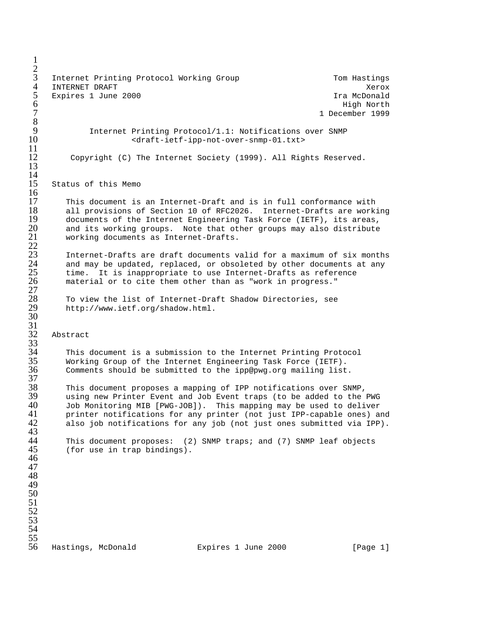1  $rac{2}{3}$ Internet Printing Protocol Working Group Tom Hastings 4 INTERNET DRAFT (AND THE SERVICE SERVICE SERVICE SERVICE SERVICE SERVICE SERVICE SERVICE SERVICE SERVICE SERVICE SERVICE SERVICE SERVICE SERVICE SERVICE SERVICE SERVICE SERVICE SERVICE SERVICE SERVICE SERVICE SERVICE SERV 5 Expires 1 June 2000 **In the U.S. A. S. A. S. A. S. A. S. A. S. A. S. A. S. A. S. A. S. A. S. A. S. A. S. A. S. A. S. A. S. A. S. A. S. A. S. A. S. A. S. A. S. A. S. A. S. A. S. A. S. A. S. A. S. A. S. A. S. A. S. A. S. A**  $6$  High North 7 1 December 1999  $\frac{8}{9}$ 9 Internet Printing Protocol/1.1: Notifications over SNMP<br>10  $\prec$ draft-ietf-ipp-not-over-snmp-01.txt> 10 <draft-ietf-ipp-not-over-snmp-01.txt>  $\frac{11}{12}$ Copyright (C) The Internet Society (1999). All Rights Reserved. 13 14 15 Status of this Memo  $\frac{16}{17}$ 17 This document is an Internet-Draft and is in full conformance with<br>18 all provisions of Section 10 of RFC2026. Internet-Drafts are work 18 all provisions of Section 10 of RFC2026. Internet-Drafts are working<br>19 documents of the Internet Engineering Task Force (IETF), its areas, 19 documents of the Internet Engineering Task Force (IETF), its areas,<br>20 and its working groups. Note that other groups may also distribute 20 and its working groups. Note that other groups may also distribute<br>21 working documents as Internet-Drafts. working documents as Internet-Drafts. 22 Internet-Drafts are draft documents valid for a maximum of six months and may be updated, replaced, or obsoleted by other documents at any time. It is inappropriate to use Internet-Drafts as reference material or to cite them other than as "work in progress." 27 To view the list of Internet-Draft Shadow Directories, see http://www.ietf.org/shadow.html. 30 31 Abstract  $32$ <br> $33$ <br> $34$ <br> $35$ <br> $36$ This document is a submission to the Internet Printing Protocol Working Group of the Internet Engineering Task Force (IETF). Comments should be submitted to the ipp@pwg.org mailing list.  $\frac{37}{38}$ 38 This document proposes a mapping of IPP notifications over SNMP, 39 using new Printer Event and Job Event traps (to be added to the PWG 40 Job Monitoring MIB [PWG-JOB]). This mapping may be used to deliver 41 printer notifications for any printer (not just IPP-capable ones) and<br>42 also job notifications for any job (not just ones submitted via IPP). also job notifications for any job (not just ones submitted via IPP). 43 44 This document proposes: (2) SNMP traps; and (7) SNMP leaf objects<br>45 (for use in trap bindings). (for use in trap bindings). 46 47 48 49 50 51 52 53 54  $\frac{55}{56}$ Hastings, McDonald Expires 1 June 2000 [Page 1]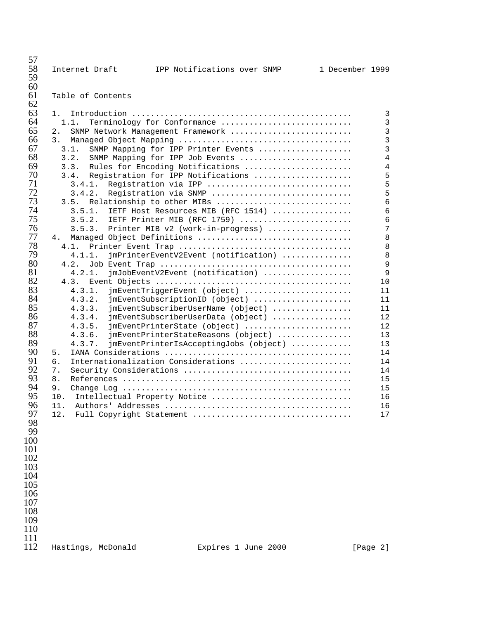| 57<br>58   | Internet Draft     | IPP Notifications over SNMP                                         | 1 December 1999 |                                  |
|------------|--------------------|---------------------------------------------------------------------|-----------------|----------------------------------|
| 59<br>60   |                    |                                                                     |                 |                                  |
| 61<br>62   | Table of Contents  |                                                                     |                 |                                  |
| 63         | 1.                 |                                                                     |                 | 3                                |
| 64         | 1.1.               | Terminology for Conformance                                         |                 | 3                                |
| 65         | 2.                 | SNMP Network Management Framework                                   |                 | 3                                |
| 66         | 3.                 |                                                                     |                 | 3                                |
| 67<br>68   | 3.1.               | SNMP Mapping for IPP Printer Events                                 |                 | 3                                |
| 69         | 3.2.<br>3.3.       | SNMP Mapping for IPP Job Events<br>Rules for Encoding Notifications |                 | $\overline{4}$<br>$\overline{4}$ |
| 70         | 3.4.               | Registration for IPP Notifications                                  |                 | 5                                |
| 71         | 3.4.1.             | Registration via IPP                                                |                 | 5                                |
| 72         | 3.4.2.             | Registration via SNMP                                               |                 | 5                                |
| 73         | 3.5.               | Relationship to other MIBs                                          |                 | 6                                |
| 74         | 3.5.1.             | IETF Host Resources MIB (RFC 1514)                                  |                 | 6                                |
| 75         | 3.5.2.             | IETF Printer MIB (RFC 1759)                                         |                 | 6                                |
| 76         | 3.5.3.             | Printer MIB v2 (work-in-progress)                                   |                 | 7                                |
| 77         | 4.                 | Managed Object Definitions                                          |                 | 8                                |
| 78         | 4.1.               |                                                                     |                 | 8                                |
| 79         | 4.1.1.             | jmPrinterEventV2Event (notification)                                |                 | 8                                |
| 80         | 4.2.               |                                                                     |                 | 9                                |
| 81         | 4.2.1.             | jmJobEventV2Event (notification)                                    |                 | 9                                |
| 82         | 4.3.               |                                                                     |                 | 10                               |
| 83         | 4.3.1.             | jmEventTriggerEvent (object)                                        |                 | 11                               |
| 84         | 4.3.2.             | jmEventSubscriptionID (object)                                      |                 | 11                               |
| 85<br>86   | 4.3.3.             | jmEventSubscriberUserName (object)                                  |                 | 11                               |
| 87         | 4.3.4.             | jmEventSubscriberUserData (object)                                  |                 | 12                               |
| 88         | 4.3.5.<br>4.3.6.   | jmEventPrinterState (object)<br>jmEventPrinterStateReasons (object) |                 | 12<br>13                         |
| 89         | 4.3.7.             | jmEventPrinterIsAcceptingJobs (object)                              |                 | 13                               |
| 90         | 5.                 |                                                                     |                 | 14                               |
| 91         | б.                 | Internationalization Considerations                                 |                 | 14                               |
| 92         | 7.                 |                                                                     |                 | 14                               |
| 93         | 8.                 |                                                                     |                 | 15                               |
| 94         | 9.                 |                                                                     |                 | 15                               |
| 95         | 10.                | Intellectual Property Notice                                        |                 | 16                               |
| 96         |                    |                                                                     |                 | 16                               |
| 97         | 12.                | Full Copyright Statement                                            |                 | 17                               |
| 98         |                    |                                                                     |                 |                                  |
| 99         |                    |                                                                     |                 |                                  |
| 100        |                    |                                                                     |                 |                                  |
| 101        |                    |                                                                     |                 |                                  |
| 102        |                    |                                                                     |                 |                                  |
| 103        |                    |                                                                     |                 |                                  |
| 104        |                    |                                                                     |                 |                                  |
| 105        |                    |                                                                     |                 |                                  |
| 106        |                    |                                                                     |                 |                                  |
| 107        |                    |                                                                     |                 |                                  |
| 108        |                    |                                                                     |                 |                                  |
| 109        |                    |                                                                     |                 |                                  |
| 110        |                    |                                                                     |                 |                                  |
| 111<br>112 | Hastings, McDonald | Expires 1 June 2000                                                 |                 | [Page 2]                         |
|            |                    |                                                                     |                 |                                  |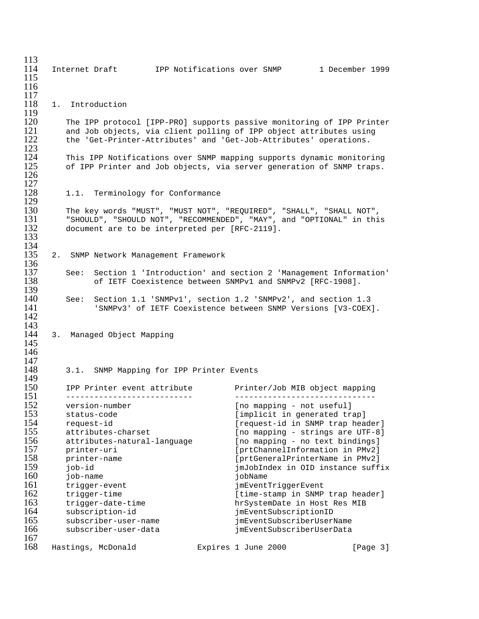| 113        |                                                                       |                                                               |                                   |
|------------|-----------------------------------------------------------------------|---------------------------------------------------------------|-----------------------------------|
| 114        | Internet Draft                                                        | IPP Notifications over SNMP 1 December 1999                   |                                   |
| 115        |                                                                       |                                                               |                                   |
| 116        |                                                                       |                                                               |                                   |
| 117        |                                                                       |                                                               |                                   |
| 118        | 1. .<br>Introduction                                                  |                                                               |                                   |
| 119        |                                                                       |                                                               |                                   |
| 120        | The IPP protocol [IPP-PRO] supports passive monitoring of IPP Printer |                                                               |                                   |
| 121        | and Job objects, via client polling of IPP object attributes using    |                                                               |                                   |
| 122        | the 'Get-Printer-Attributes' and 'Get-Job-Attributes' operations.     |                                                               |                                   |
| 123        |                                                                       |                                                               |                                   |
| 124        | This IPP Notifications over SNMP mapping supports dynamic monitoring  |                                                               |                                   |
| 125        | of IPP Printer and Job objects, via server generation of SNMP traps.  |                                                               |                                   |
| 126        |                                                                       |                                                               |                                   |
| 127        |                                                                       |                                                               |                                   |
| 128        | 1.1. Terminology for Conformance                                      |                                                               |                                   |
| 129        |                                                                       |                                                               |                                   |
| 130        | The key words "MUST", "MUST NOT", "REQUIRED", "SHALL", "SHALL NOT",   |                                                               |                                   |
| 131        | "SHOULD", "SHOULD NOT", "RECOMMENDED", "MAY", and "OPTIONAL" in this  |                                                               |                                   |
| 132        | document are to be interpreted per [RFC-2119].                        |                                                               |                                   |
| 133<br>134 |                                                                       |                                                               |                                   |
| 135        |                                                                       |                                                               |                                   |
| 136        | 2. SNMP Network Management Framework                                  |                                                               |                                   |
| 137        | See: Section 1 'Introduction' and section 2 'Management Information'  |                                                               |                                   |
| 138        |                                                                       | of IETF Coexistence between SNMPv1 and SNMPv2 [RFC-1908].     |                                   |
| 139        |                                                                       |                                                               |                                   |
| 140        | See: Section 1.1 'SNMPv1', section 1.2 'SNMPv2', and section 1.3      |                                                               |                                   |
| 141        |                                                                       | 'SNMPv3' of IETF Coexistence between SNMP Versions [V3-COEX]. |                                   |
| 142        |                                                                       |                                                               |                                   |
| 143        |                                                                       |                                                               |                                   |
| 144        | 3. Managed Object Mapping                                             |                                                               |                                   |
| 145        |                                                                       |                                                               |                                   |
| 146        |                                                                       |                                                               |                                   |
| 147        |                                                                       |                                                               |                                   |
| 148        | 3.1. SNMP Mapping for IPP Printer Events                              |                                                               |                                   |
| 149        |                                                                       |                                                               |                                   |
| 150        | IPP Printer event attribute                                           | Printer/Job MIB object mapping                                |                                   |
| 151        | _____________________________                                         | ---------------------------                                   |                                   |
| 152        | version-number                                                        | [no mapping - not useful]                                     |                                   |
| 153        | status-code                                                           | [implicit in generated trap]                                  |                                   |
| 154        | request-id                                                            | [request-id in SNMP trap header]                              |                                   |
| 155        | attributes-charset                                                    | [no mapping - strings are UTF-8]                              |                                   |
| 156        | attributes-natural-language                                           | [no mapping - no text bindings]                               |                                   |
| 157        | printer-uri                                                           | [prtChannelInformation in PMv2]                               |                                   |
| 158        | printer-name                                                          | [prtGeneralPrinterName in PMv2]                               |                                   |
| 159        | job-id                                                                |                                                               | jmJobIndex in OID instance suffix |
| 160        | job-name                                                              | iobName                                                       |                                   |
| 161        | trigger-event                                                         | jmEventTriggerEvent                                           |                                   |
| 162        | trigger-time                                                          | [time-stamp in SNMP trap header]                              |                                   |
| 163        | trigger-date-time                                                     | hrSystemDate in Host Res MIB                                  |                                   |
| 164        | subscription-id                                                       | jmEventSubscriptionID                                         |                                   |
| 165        | subscriber-user-name                                                  | jmEventSubscriberUserName                                     |                                   |
| 166        | subscriber-user-data                                                  | jmEventSubscriberUserData                                     |                                   |
| 167        |                                                                       |                                                               |                                   |
| 168        | Hastings, McDonald                                                    | Expires 1 June 2000                                           | [Page 3]                          |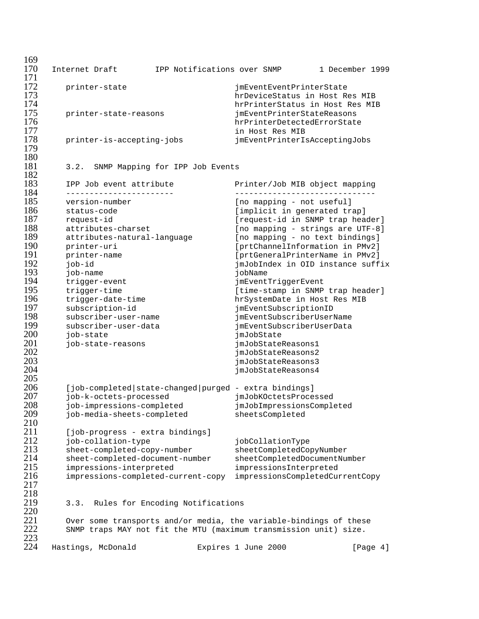| 169<br>170 | Internet Draft                                                    | IPP Notifications over SNMP      |                                                           | 1 December 1999 |  |
|------------|-------------------------------------------------------------------|----------------------------------|-----------------------------------------------------------|-----------------|--|
| 171        |                                                                   |                                  |                                                           |                 |  |
| 172        | printer-state                                                     |                                  | jmEventEventPrinterState                                  |                 |  |
| 173        |                                                                   |                                  | hrDeviceStatus in Host Res MIB                            |                 |  |
| 174        |                                                                   |                                  | hrPrinterStatus in Host Res MIB                           |                 |  |
| 175        | printer-state-reasons                                             |                                  | jmEventPrinterStateReasons                                |                 |  |
| 176        |                                                                   |                                  | hrPrinterDetectedErrorState                               |                 |  |
| 177        |                                                                   |                                  | in Host Res MIB                                           |                 |  |
| 178<br>179 | printer-is-accepting-jobs                                         |                                  | jmEventPrinterIsAcceptingJobs                             |                 |  |
| 180        |                                                                   |                                  |                                                           |                 |  |
| 181        | 3.2.                                                              | SNMP Mapping for IPP Job Events  |                                                           |                 |  |
| 182        |                                                                   |                                  |                                                           |                 |  |
| 183        | IPP Job event attribute                                           |                                  | Printer/Job MIB object mapping                            |                 |  |
| 184        | -----------------------                                           |                                  |                                                           |                 |  |
| 185        | version-number                                                    |                                  | [no mapping - not useful]                                 |                 |  |
| 186        | status-code                                                       |                                  | [implicit in generated trap]                              |                 |  |
| 187        | request-id                                                        |                                  | [request-id in SNMP trap header]                          |                 |  |
| 188        | attributes-charset                                                |                                  | [no mapping - strings are UTF-8]                          |                 |  |
| 189        | attributes-natural-language                                       |                                  | [no mapping - no text bindings]                           |                 |  |
| 190        | printer-uri                                                       |                                  | [prtChannelInformation in PMv2]                           |                 |  |
| 191<br>192 | printer-name                                                      |                                  | [prtGeneralPrinterName in PMv2]                           |                 |  |
| 193        | job-id<br>job-name                                                |                                  | jmJobIndex in OID instance suffix<br>jobName              |                 |  |
| 194        | trigger-event                                                     |                                  | jmEventTriggerEvent                                       |                 |  |
| 195        | trigger-time                                                      |                                  | [time-stamp in SNMP trap header]                          |                 |  |
| 196        | trigger-date-time                                                 |                                  | hrSystemDate in Host Res MIB                              |                 |  |
| 197        | subscription-id                                                   |                                  | jmEventSubscriptionID                                     |                 |  |
| 198        | subscriber-user-name                                              |                                  | jmEventSubscriberUserName                                 |                 |  |
| 199        | subscriber-user-data                                              |                                  | jmEventSubscriberUserData                                 |                 |  |
| 200        | job-state                                                         |                                  | jmJobState                                                |                 |  |
| 201        | job-state-reasons                                                 |                                  | jmJobStateReasons1                                        |                 |  |
| 202        |                                                                   |                                  | jmJobStateReasons2                                        |                 |  |
| 203<br>204 |                                                                   |                                  | jmJobStateReasons3                                        |                 |  |
| 205        |                                                                   |                                  | jmJobStateReasons4                                        |                 |  |
| 206        | [job-completed state-changed purged - extra bindings]             |                                  |                                                           |                 |  |
| 207        | job-k-octets-processed                                            |                                  | jmJobKOctetsProcessed                                     |                 |  |
| 208        | job-impressions-completed                                         |                                  | jmJobImpressionsCompleted                                 |                 |  |
| 209        | job-media-sheets-completed                                        |                                  | sheetsCompleted                                           |                 |  |
| 210        |                                                                   |                                  |                                                           |                 |  |
| 211        | [job-progress - extra bindings]                                   |                                  |                                                           |                 |  |
| 212        | job-collation-type                                                |                                  | jobCollationType                                          |                 |  |
| 213        | sheet-completed-copy-number                                       |                                  | sheetCompletedCopyNumber                                  |                 |  |
| 214<br>215 | sheet-completed-document-number                                   |                                  | sheetCompletedDocumentNumber                              |                 |  |
| 216        | impressions-interpreted                                           |                                  | impressionsInterpreted<br>impressionsCompletedCurrentCopy |                 |  |
| 217        | impressions-completed-current-copy                                |                                  |                                                           |                 |  |
| 218        |                                                                   |                                  |                                                           |                 |  |
| 219        | 3.3.                                                              | Rules for Encoding Notifications |                                                           |                 |  |
| 220        |                                                                   |                                  |                                                           |                 |  |
| 221        | Over some transports and/or media, the variable-bindings of these |                                  |                                                           |                 |  |
| 222        | SNMP traps MAY not fit the MTU (maximum transmission unit) size.  |                                  |                                                           |                 |  |
| 223        |                                                                   |                                  |                                                           |                 |  |
| 224        | Hastings, McDonald                                                |                                  | Expires 1 June 2000                                       | [Page 4]        |  |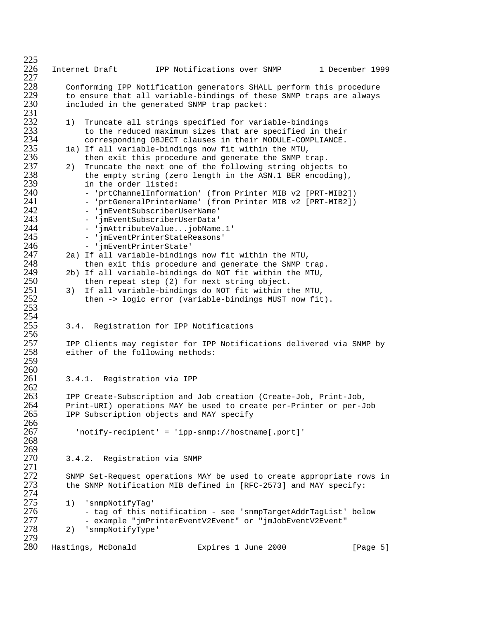$^{225}_{226}$ Internet Draft 1PP Notifications over SNMP 1 December 1999  $^{227}_{228}$ 228 Conforming IPP Notification generators SHALL perform this procedure 229 to ensure that all variable-bindings of these SNMP traps are always<br>230 tincluded in the generated SNMP trap packet:  $included$  in the generated SNMP trap packet: 231<br>232 232 1) Truncate all strings specified for variable-bindings<br>233 to the reduced maximum sizes that are specified in t 233 to the reduced maximum sizes that are specified in their 234 corresponding OBJECT clauses in their MODULE-COMPLIANCE.<br>235 1a) If all variable-bindings now fit within the MTU, 235 1a) If all variable-bindings now fit within the MTU,<br>236 then exit this procedure and generate the SNMP t 236 then exit this procedure and generate the SNMP trap.<br>237 2) Truncate the next one of the following string object 237 2) Truncate the next one of the following string objects to<br>238 the empty string (zero length in the ASN.1 BER encoding) 238 the empty string (zero length in the ASN.1 BER encoding),<br>239 in the order listed: 239 in the order listed:<br>240 - prtChannelInforma 240 - 'prtChannelInformation' (from Printer MIB v2 [PRT-MIB2]) 241 - 'prtGeneralPrinterName' (from Printer MIB v2 [PRT-MIB2])<br>242 - 'imEventSubscriberUserName' 242 'jmEventSubscriberUserName'<br>243 'imEventSubscriberUserData' 243 - 'jmEventSubscriberUserData' 244 - 'jmAttributeValue...jobName.1'<br>245 - 'imEventPrinterStateReasons' 245 - 'jmEventPrinterStateReasons'<br>246 - 'imEventPrinterState' 246 - 'jmEventPrinterState' 247 2a) If all variable-bindings now fit within the MTU, 248 then exit this procedure and generate the SNMP trap.<br>249 2b) If all variable-bindings do NOT fit within the MTU,  $249$  2b) If all variable-bindings do NOT fit within the MTU,<br> $250$  then repeat step (2) for next string object. 250 then repeat step (2) for next string object.<br>251 3) If all variable-bindings do NOT fit within t 251 3) If all variable-bindings do NOT fit within the MTU, then -> logic error (variable-bindings MUST now fit).  $253$ 254<br>255 3.4. Registration for IPP Notifications 256<br>257 257 IPP Clients may register for IPP Notifications delivered via SNMP by<br>258 either of the following methods: either of the following methods: 259  $\frac{260}{261}$ 3.4.1. Registration via IPP 262<br>263 263 IPP Create-Subscription and Job creation (Create-Job, Print-Job, 264 Print-URI) operations MAY be used to create per-Printer or per-Job<br>265 IPP Subscription objects and MAY specify IPP Subscription objects and MAY specify 266<br>267 267 'notify-recipient' = 'ipp-snmp://hostname[.port]' 268 269<br>270 3.4.2. Registration via SNMP 271 272 SNMP Set-Request operations MAY be used to create appropriate rows in 273 the SNMP Notification MIB defined in [RFC-2573] and MAY specify: the SNMP Notification MIB defined in [RFC-2573] and MAY specify: 274<br>275 275 1) 'snmpNotifyTag' 276 - tag of this notification - see 'snmpTargetAddrTagList' below 277 - example "jmPrinterEventV2Event" or "jmJobEventV2Event" 2) 'snmpNotifyType' 279 Hastings, McDonald Expires 1 June 2000 [Page 5]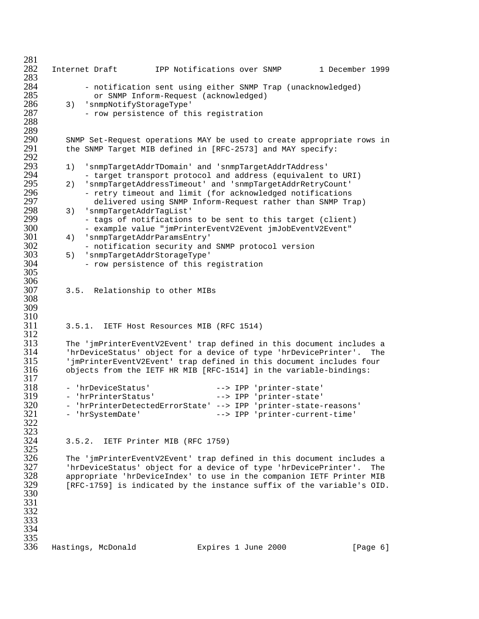281 282 Internet Draft IPP Notifications over SNMP 1 December 1999 283<br>284 284 - notification sent using either SNMP Trap (unacknowledged)<br>285 - Or SNMP Inform-Request (acknowledged) 285 or SNMP Inform-Request (acknowledged) 286 3) 'snmpNotifyStorageType' - row persistence of this registration 288 289<br>290 290 SNMP Set-Request operations MAY be used to create appropriate rows in<br>291 the SNMP Target MIB defined in [RFC-2573] and MAY specify: the SNMP Target MIB defined in [RFC-2573] and MAY specify: 292<br>293 293 1) 'snmpTargetAddrTDomain' and 'snmpTargetAddrTAddress' 294 - target transport protocol and address (equivalent to URI)<br>295 - 2) 'snmpTargetAddressTimeout' and 'snmpTargetAddrRetryCount' 295 2) 'snmpTargetAddressTimeout' and 'snmpTargetAddrRetryCount' 296 - retry timeout and limit (for acknowledged notifications 297 delivered using SNMP Inform-Request rather than SNMP Trap) 298 3) 'snmpTargetAddrTagList' 299 - tags of notifications to be sent to this target (client) 300 - example value "jmPrinterEventV2Event jmJobEventV2Event"<br>301 - 4) 'snmpTargetAddrParamsEntry' 301 4) 'snmpTargetAddrParamsEntry' 302 - notification security and SNMP protocol version<br>303 - 5) 'snmpTargetAddrStorageType' 303 5) 'snmpTargetAddrStorageType' - row persistence of this registration 305 306<br>307 3.5. Relationship to other MIBs 308 309  $\frac{310}{311}$ 311 3.5.1. IETF Host Resources MIB (RFC 1514)  $\frac{312}{313}$ 313 The 'jmPrinterEventV2Event' trap defined in this document includes a 314 'hrDeviceStatus' object for a device of type 'hrDevicePrinter'. The 315 'jmPrinterEventV2Event' trap defined in this document includes four 316 objects from the IETF HR MIB [RFC-1514] in the variable-bindings: 317<br>318 318 - 'hrDeviceStatus' --> IPP 'printer-state' 319 - 'hrPrinterStatus' --> IPP 'printer-state' 320 - 'hrPrinterDetectedErrorState' --> IPP 'printer-state-reasons' 321 - 'hrSystemDate' --> IPP 'printer-current-time' 322 323<br>324 3.5.2. IETF Printer MIB (RFC 1759) 325<br>326 326 The 'jmPrinterEventV2Event' trap defined in this document includes a<br>327 'hrDeviceStatus' object for a device of type 'hrDevicePrinter'. The 327 'hrDeviceStatus' object for a device of type 'hrDevicePrinter'. The<br>328 appropriate 'hrDeviceIndex' to use in the companion IETF Printer MIB 328 appropriate 'hrDeviceIndex' to use in the companion IETF Printer MIB [RFC-1759] is indicated by the instance suffix of the variable's OID. 330 331 332 333 334 335<br>336 Hastings, McDonald Expires 1 June 2000 [Page 6]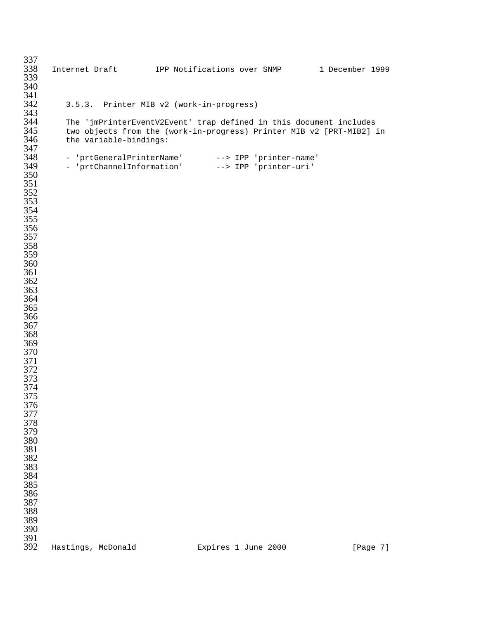| 337        |                                          |                                                                      |          |
|------------|------------------------------------------|----------------------------------------------------------------------|----------|
| 338        |                                          | Internet Draft [PP Notifications over SNMP 1 December 1999           |          |
| 339        |                                          |                                                                      |          |
| 340        |                                          |                                                                      |          |
| 341        |                                          |                                                                      |          |
| 342<br>343 | 3.5.3. Printer MIB v2 (work-in-progress) |                                                                      |          |
| 344        |                                          | The 'jmPrinterEventV2Event' trap defined in this document includes   |          |
| 345        |                                          | two objects from the (work-in-progress) Printer MIB v2 [PRT-MIB2] in |          |
| 346        | the variable-bindings:                   |                                                                      |          |
| 347        |                                          |                                                                      |          |
| 348        |                                          | - 'prtGeneralPrinterName' --> IPP 'printer-name'                     |          |
| 349        |                                          | - 'prtChannelInformation' --> IPP 'printer-uri'                      |          |
| 350        |                                          |                                                                      |          |
| 351        |                                          |                                                                      |          |
| 352        |                                          |                                                                      |          |
| 353        |                                          |                                                                      |          |
| 354        |                                          |                                                                      |          |
| 355<br>356 |                                          |                                                                      |          |
| 357        |                                          |                                                                      |          |
| 358        |                                          |                                                                      |          |
| 359        |                                          |                                                                      |          |
| 360        |                                          |                                                                      |          |
| 361        |                                          |                                                                      |          |
| 362        |                                          |                                                                      |          |
| 363        |                                          |                                                                      |          |
| 364        |                                          |                                                                      |          |
| 365        |                                          |                                                                      |          |
| 366        |                                          |                                                                      |          |
| 367        |                                          |                                                                      |          |
| 368        |                                          |                                                                      |          |
| 369<br>370 |                                          |                                                                      |          |
| 371        |                                          |                                                                      |          |
| 372        |                                          |                                                                      |          |
| 373        |                                          |                                                                      |          |
| 374        |                                          |                                                                      |          |
| 375        |                                          |                                                                      |          |
| 376        |                                          |                                                                      |          |
| 377        |                                          |                                                                      |          |
| 378        |                                          |                                                                      |          |
| 379        |                                          |                                                                      |          |
| 380        |                                          |                                                                      |          |
| 381        |                                          |                                                                      |          |
| 382<br>383 |                                          |                                                                      |          |
| 384        |                                          |                                                                      |          |
| 385        |                                          |                                                                      |          |
|            |                                          |                                                                      |          |
| 386<br>387 |                                          |                                                                      |          |
| 388        |                                          |                                                                      |          |
| 389        |                                          |                                                                      |          |
| 390        |                                          |                                                                      |          |
| 391        |                                          |                                                                      |          |
| 392        | Hastings, McDonald                       | Expires 1 June 2000                                                  | [Page 7] |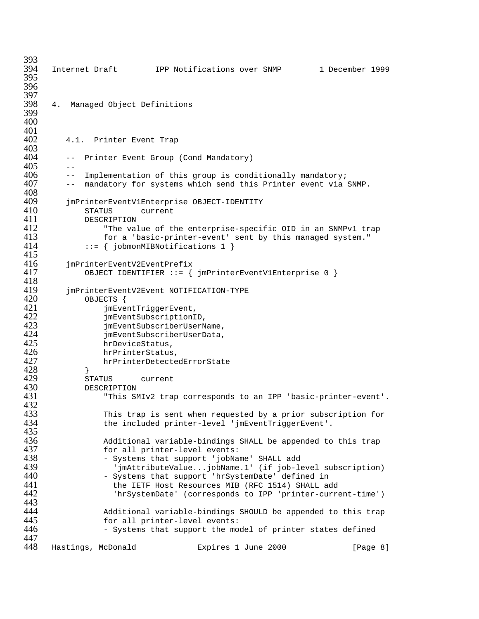| 393        |       |                             |                                                               |                     |                                                               |
|------------|-------|-----------------------------|---------------------------------------------------------------|---------------------|---------------------------------------------------------------|
| 394        |       |                             | Internet Draft TPP Notifications over SNMP                    |                     | 1 December 1999                                               |
| 395<br>396 |       |                             |                                                               |                     |                                                               |
| 397        |       |                             |                                                               |                     |                                                               |
| 398        | 4.    | Managed Object Definitions  |                                                               |                     |                                                               |
| 399        |       |                             |                                                               |                     |                                                               |
| 400        |       |                             |                                                               |                     |                                                               |
| 401        |       |                             |                                                               |                     |                                                               |
| 402        |       | 4.1. Printer Event Trap     |                                                               |                     |                                                               |
| 403        |       |                             |                                                               |                     |                                                               |
| 404        | $ -$  |                             | Printer Event Group (Cond Mandatory)                          |                     |                                                               |
| 405        | $- -$ |                             |                                                               |                     |                                                               |
| 406        | $ -$  |                             | Implementation of this group is conditionally mandatory;      |                     |                                                               |
| 407        | $ -$  |                             | mandatory for systems which send this Printer event via SNMP. |                     |                                                               |
| 408        |       |                             |                                                               |                     |                                                               |
| 409        |       |                             | jmPrinterEventV1Enterprise OBJECT-IDENTITY                    |                     |                                                               |
| 410<br>411 |       | STATUS                      | current                                                       |                     |                                                               |
| 412        |       | DESCRIPTION                 | "The value of the enterprise-specific OID in an SNMPv1 trap   |                     |                                                               |
| 413        |       |                             | for a 'basic-printer-event' sent by this managed system."     |                     |                                                               |
| 414        |       |                             | $::= \{ jobmomMIBNotifications 1 \}$                          |                     |                                                               |
| 415        |       |                             |                                                               |                     |                                                               |
| 416        |       | jmPrinterEventV2EventPrefix |                                                               |                     |                                                               |
| 417        |       |                             | OBJECT IDENTIFIER ::= { jmPrinterEventV1Enterprise 0 }        |                     |                                                               |
| 418        |       |                             |                                                               |                     |                                                               |
| 419        |       |                             | jmPrinterEventV2Event NOTIFICATION-TYPE                       |                     |                                                               |
| 420        |       | OBJECTS {                   |                                                               |                     |                                                               |
| 421        |       |                             | jmEventTriggerEvent,                                          |                     |                                                               |
| 422        |       |                             | jmEventSubscriptionID,                                        |                     |                                                               |
| 423        |       |                             | jmEventSubscriberUserName,                                    |                     |                                                               |
| 424        |       |                             | jmEventSubscriberUserData,                                    |                     |                                                               |
| 425<br>426 |       | hrDeviceStatus,             |                                                               |                     |                                                               |
| 427        |       | hrPrinterStatus,            | hrPrinterDetectedErrorState                                   |                     |                                                               |
| 428        |       |                             |                                                               |                     |                                                               |
| 429        |       | }<br>STATUS                 | current                                                       |                     |                                                               |
| 430        |       | DESCRIPTION                 |                                                               |                     |                                                               |
| 431        |       |                             |                                                               |                     | "This SMIv2 trap corresponds to an IPP 'basic-printer-event'. |
| 432        |       |                             |                                                               |                     |                                                               |
| 433        |       |                             |                                                               |                     | This trap is sent when requested by a prior subscription for  |
| 434        |       |                             | the included printer-level 'jmEventTriggerEvent'.             |                     |                                                               |
| 435        |       |                             |                                                               |                     |                                                               |
| 436        |       |                             | Additional variable-bindings SHALL be appended to this trap   |                     |                                                               |
| 437        |       |                             | for all printer-level events:                                 |                     |                                                               |
| 438        |       |                             | - Systems that support 'jobName' SHALL add                    |                     |                                                               |
| 439        |       |                             |                                                               |                     | 'jmAttributeValuejobName.1' (if job-level subscription)       |
| 440        |       |                             | - Systems that support 'hrSystemDate' defined in              |                     |                                                               |
| 441<br>442 |       |                             | the IETF Host Resources MIB (RFC 1514) SHALL add              |                     |                                                               |
| 443        |       |                             |                                                               |                     | 'hrSystemDate' (corresponds to IPP 'printer-current-time')    |
| 444        |       |                             |                                                               |                     | Additional variable-bindings SHOULD be appended to this trap  |
| 445        |       |                             | for all printer-level events:                                 |                     |                                                               |
| 446        |       |                             | - Systems that support the model of printer states defined    |                     |                                                               |
| 447        |       |                             |                                                               |                     |                                                               |
| 448        |       | Hastings, McDonald          |                                                               | Expires 1 June 2000 | [Page 8]                                                      |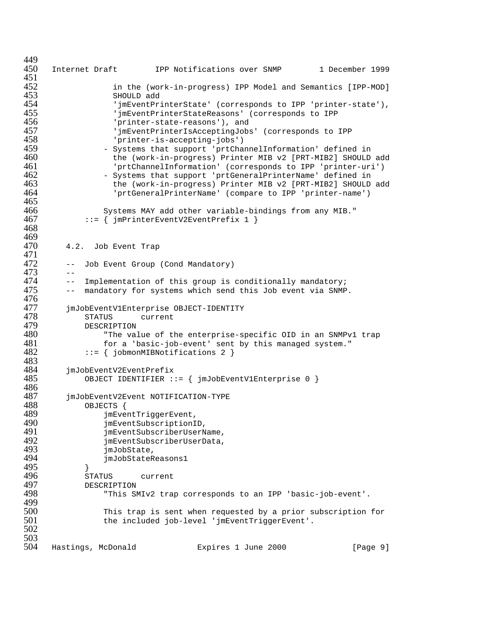```
449<br>450
      Internet Draft 1PP Notifications over SNMP 1 December 1999
451<br>452
452 in the (work-in-progress) IPP Model and Semantics [IPP-MOD]
453 SHOULD add<br>454 'imEventPr:
454 'jmEventPrinterState' (corresponds to IPP 'printer-state'),
455 'jmEventPrinterStateReasons' (corresponds to IPP
456 'printer-state-reasons'), and<br>457 'imEventPrinterIsAcceptingJobs
457 'jmEventPrinterIsAcceptingJobs' (corresponds to IPP
458 'printer-is-accepting-jobs')<br>459 - Systems that support 'prtCha
                  - Systems that support 'prtChannelInformation' defined in
460 the (work-in-progress) Printer MIB v2 [PRT-MIB2] SHOULD add
461 'prtChannelInformation' (corresponds to IPP 'printer-uri')
462 - Systems that support 'prtGeneralPrinterName' defined in
463 the (work-in-progress) Printer MIB v2 [PRT-MIB2] SHOULD add<br>464 fortGeneralPrinterName' (compare to IPP 'printer-name')
                     'prtGeneralPrinterName' (compare to IPP 'printer-name')
465<br>466
466 Systems MAY add other variable-bindings from any MIB."<br>467                 ::= { imPrinterEventV2EventPrefix 1 }
              ::= { jmPrinterEventV2EventPrefix 1 }
468
469<br>470
         4.2. Job Event Trap
471<br>472
         -- Job Event Group (Cond Mandatory)
473 --
474 -- Implementation of this group is conditionally mandatory;<br>475 -- mandatory for systems which send this Job event via SNMP
         -- mandatory for systems which send this Job event via SNMP.
476<br>477
477 jmJobEventV1Enterprise OBJECT-IDENTITY
478 STATUS current<br>479 DESCRIPTION
479 DESCRIPTION
480 "The value of the enterprise-specific OID in an SNMPv1 trap
481 for a 'basic-job-event' sent by this managed system."<br>482 \cdots ::= { jobmonMIBNotifications 2 }
              ::= { jobmonMIBNotifications 2 }
483
484 jmJobEventV2EventPrefix
              OBJECT IDENTIFIER ::= { jmJobEventV1Enterprise 0 }
486<br>487
487 jmJobEventV2Event NOTIFICATION-TYPE<br>488 obJECTS {
488 OBJECTS {
                  jmEventTriggerEvent,
490 jmEventSubscriptionID,<br>491 imEventSubscriberUserN
491 jmEventSubscriberUserName,
492 jmEventSubscriberUserData,
493 jmJobState,<br>494 imJobStateR
                  jmJobStateReasons1
\begin{array}{cc} 495 & & \frac{1}{5} \\ 496 & & \frac{5}{5} \end{array}496 STATUS current<br>497 DESCRIPTION
497 DESCRIPTION<br>498 This SI
                  "This SMIv2 trap corresponds to an IPP 'basic-job-event'.
499<br>500
                  This trap is sent when requested by a prior subscription for
501 the included job-level 'jmEventTriggerEvent'.
502
503<br>504
      Hastings, McDonald Expires 1 June 2000 [Page 9]
```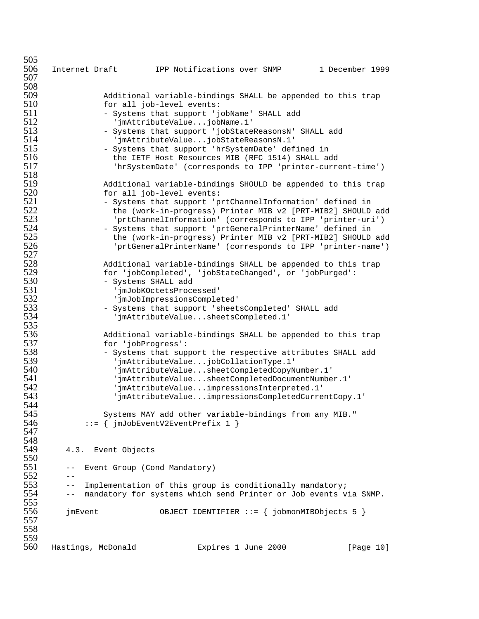505<br>506 Internet Draft 1PP Notifications over SNMP 1 December 1999 507 508<br>509 509 Additional variable-bindings SHALL be appended to this trap 510 for all job-level events:<br>511 - Systems that support 'i 511 - Systems that support 'jobName' SHALL add<br>512 - 'imAttributeValue...iobName.1' 512 'jmAttributeValue...jobName.1' 513 - Systems that support 'jobStateReasonsN' SHALL add<br>514 - 'imAttributeValue...iobStateReasonsN.1' 514 'jmAttributeValue...jobStateReasonsN.1' - Systems that support 'hrSystemDate' defined in 516 the IETF Host Resources MIB (RFC 1514) SHALL add 517 'hrSystemDate' (corresponds to IPP 'printer-current-time') 518 519 Additional variable-bindings SHOULD be appended to this trap 520 for all job-level events:<br>521 - Systems that support 'p 521 - Systems that support 'prtChannelInformation' defined in<br>522 - The (work-in-progress) Printer MIB v2 [PRT-MIB2] SHOULD 522 the (work-in-progress) Printer MIB v2 [PRT-MIB2] SHOULD add 523 'prtChannelInformation' (corresponds to IPP 'printer-uri') 524 - Systems that support 'prtGeneralPrinterName' defined in<br>525 - the (work-in-progress) Printer MIB v2 [PRT-MIB2] SHOULD 525 the (work-in-progress) Printer MIB v2 [PRT-MIB2] SHOULD add 'prtGeneralPrinterName' (corresponds to IPP 'printer-name') 527<br>528 528 Additional variable-bindings SHALL be appended to this trap 529 for 'jobCompleted', 'jobStateChanged', or 'jobPurged': 530 - Systems SHALL add 531 'jmJobKOctetsProcessed'<br>532 'imJobImpressionsComple 532 'jmJobImpressionsCompleted' 533 - Systems that support 'sheetsCompleted' SHALL add 'jmAttributeValue...sheetsCompleted.1' 535<br>536 536 Additional variable-bindings SHALL be appended to this trap 537 for 'jobProgress': 538 - Systems that support the respective attributes SHALL add 539 'jmAttributeValue...jobCollationType.1' 540 'jmAttributeValue...sheetCompletedCopyNumber.1' 541 'jmAttributeValue...sheetCompletedDocumentNumber.1' 542 'jmAttributeValue...impressionsInterpreted.1' 'jmAttributeValue...impressionsCompletedCurrentCopy.1' 544<br>545 Systems MAY add other variable-bindings from any MIB."  $546$  ::= { jmJobEventV2EventPrefix 1 } 547 548<br>549 4.3. Event Objects 550<br>551 -- Event Group (Cond Mandatory)  $552$  --<br>553 --553 -- Implementation of this group is conditionally mandatory; -- mandatory for systems which send Printer or Job events via SNMP. 555<br>556 556 jmEvent OBJECT IDENTIFIER ::= { jobmonMIBObjects 5 } 557 558 559<br>560 Hastings, McDonald Expires 1 June 2000 [Page 10]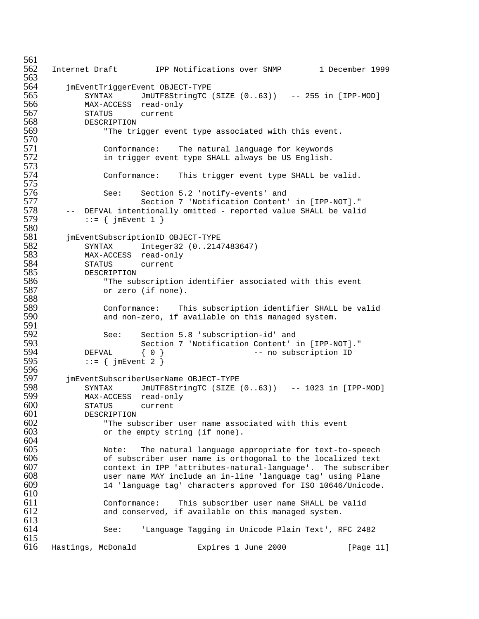561<br>562 Internet Draft 1PP Notifications over SNMP 1 December 1999 563<br>564 564 jmEventTriggerEvent OBJECT-TYPE 565 SYNTAX JmUTF8StringTC (SIZE (0..63)) -- 255 in [IPP-MOD] 566 MAX-ACCESS read-only 567 STATUS current 568 DESCRIPTION<br>569 "The tr: "The trigger event type associated with this event. 570<br>571 Conformance: The natural language for keywords 572 in trigger event type SHALL always be US English. 573<br>574 Conformance: This trigger event type SHALL be valid. 575<br>576 576 See: Section 5.2 'notify-events' and 577 Section 7 'Notification Content' in [IPP-NOT]." 578 -- DEFVAL intentionally omitted - reported value SHALL be valid  $579$  ::= { imEvent 1 }  $\{$  := { jmEvent 1 } 580<br>581 581 jmEventSubscriptionID OBJECT-TYPE 582 SYNTAX Integer32 (0..2147483647) MAX-ACCESS read-only 584 STATUS current 585 DESCRIPTION 586 "The subscription identifier associated with this event or zero (if none). 588<br>589 589 Conformance: This subscription identifier SHALL be valid and non-zero, if available on this managed system. 591<br>592 592 See: Section 5.8 'subscription-id' and 593 Section 7 'Notification Content' in [IPP-NOT]." 594 DEFVAL { 0 }<br>595 := { imEvent 2 }  $\mathsf{S} := \{ \text{jmEvent 2 } \}$ 596<br>597 597 jmEventSubscriberUserName OBJECT-TYPE 598 SYNTAX JmUTF8StringTC (SIZE (0..63)) -- 1023 in [IPP-MOD]<br>599 MAX-ACCESS read-only 599 MAX-ACCESS read-only 600 STATUS current<br>601 DESCRIPTION **DESCRIPTION**  $602$  "The subscriber user name associated with this event  $603$  or the empty string (if none). or the empty string (if none). 604<br>605 605 Note: The natural language appropriate for text-to-speech 606 of subscriber user name is orthogonal to the localized text<br>607 context in IPP 'attributes-natural-language'. The subscribe 607 context in IPP 'attributes-natural-language'. The subscriber 608 user name MAY include an in-line 'language tag' using Plane 14 'language tag' characters approved for ISO 10646/Unicode. 610<br>611 611 Conformance: This subscriber user name SHALL be valid and conserved, if available on this managed system. 613 614 See: 'Language Tagging in Unicode Plain Text', RFC 2482  $615$ <br> $616$ Hastings, McDonald **Expires 1 June 2000** [Page 11]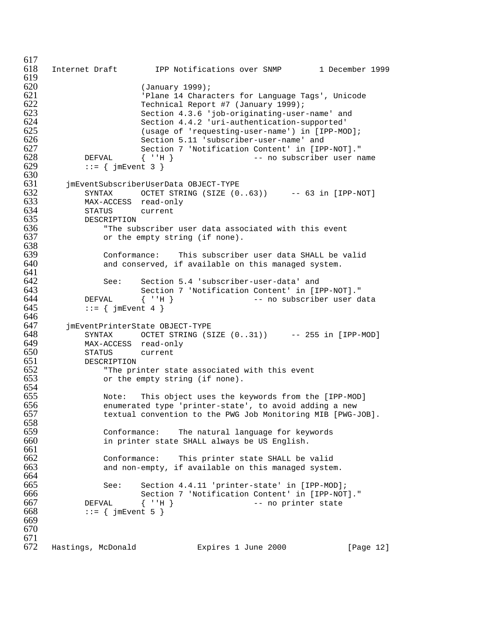$617$ <br> $618$ Internet Draft 1PP Notifications over SNMP 1 December 1999 619<br>620 620 (January 1999); 621 'Plane 14 Characters for Language Tags', Unicode 622 Technical Report #7 (January 1999); 623 Section 4.3.6 'job-originating-user-name' and 624 Section 4.4.2 'uri-authentication-supported' 625 (usage of 'requesting-user-name') in [IPP-MOD]; 626 Section 5.11 'subscriber-user-name' and<br>627 Section 7 'Notification Content' in [IP] Section 7 'Notification Content' in [IPP-NOT]." 628 DEFVAL  $\{\n\cdot \text{H}\}\n-$  no subscriber user name<br>629 ::= { jmEvent 3 }  $\mathsf{f} := \{ \text{jmEvent } 3 \}$ 630 631 jmEventSubscriberUserData OBJECT-TYPE 632 SYNTAX OCTET STRING (SIZE (0..63)) -- 63 in [IPP-NOT]<br>633 MAX-ACCESS read-only 633 MAX-ACCESS read-only<br>634 STATUS current 634 STATUS current<br>635 DESCRIPTION 635 DESCRIPTION<br>636 "The sul 636 The subscriber user data associated with this event  $637$  or the empty string (if none). or the empty string (if none). 638<br>639 639 Conformance: This subscriber user data SHALL be valid<br>640 and conserved, if available on this managed system. and conserved, if available on this managed system. 641<br>642 642 See: Section 5.4 'subscriber-user-data' and 643 Section 7 'Notification Content' in [IPP-NOT]." 644 DEFVAL  $\{ 'H \}$  -- no subscriber user data<br>645 ::= { imEvent 4 }  $::=$  { jmEvent 4 } 646<br>647 647 jmEventPrinterState OBJECT-TYPE 648 SYNTAX OCTET STRING (SIZE (0..31)) -- 255 in [IPP-MOD]<br>649 MAX-ACCESS read-only 649 MAX-ACCESS read-only 650 STATUS current 651 DESCRIPTION<br>652 "The pr:  $652$  "The printer state associated with this event  $653$  or the empty string (if none). or the empty string (if none). 654<br>655 655 Note: This object uses the keywords from the [IPP-MOD]<br>656 home enumerated type 'printer-state', to avoid adding a new enumerated type 'printer-state', to avoid adding a new 657 textual convention to the PWG Job Monitoring MIB [PWG-JOB]. 658<br>659 659 Conformance: The natural language for keywords in printer state SHALL always be US English. 661<br>662 662 Conformance: This printer state SHALL be valid and non-empty, if available on this managed system. 664<br>665 665 See: Section 4.4.11 'printer-state' in [IPP-MOD]; Section 7 'Notification Content' in [IPP-NOT]." 667 DEFVAL { ''H } -- no printer state 668 ::=  $\{ jmEvent 5 \}$ 669 670 671<br>672 Hastings, McDonald Expires 1 June 2000 [Page 12]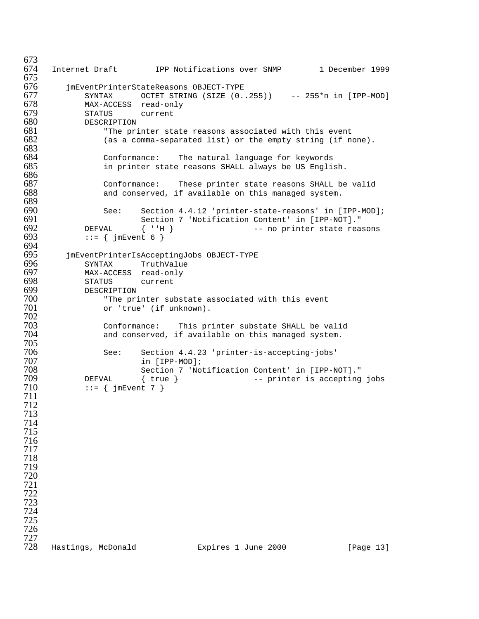673<br>674 Internet Draft 1PP Notifications over SNMP 1 December 1999 jmEventPrinterStateReasons OBJECT-TYPE SYNTAX OCTET STRING (SIZE (0..255)) -- 255\*n in [IPP-MOD] MAX-ACCESS read-only STATUS current 680 DESCRIPTION<br>681 "The pri The printer state reasons associated with this event  $682$  (as a comma-separated list) or the empty string (if n (as a comma-separated list) or the empty string (if none). Conformance: The natural language for keywords in printer state reasons SHALL always be US English. Conformance: These printer state reasons SHALL be valid and conserved, if available on this managed system. 690 See: Section 4.4.12 'printer-state-reasons' in [IPP-MOD];<br>691 Section 7 'Notification Content' in [IPP-NOT]." 691 Section 7 'Notification Content' in [IPP-NOT]."<br>692 DEFVAL { ''H } -- no printer state rea 692 DEFVAL  $\{ 'H \}$  -- no printer state reasons 693 ::=  $\{ imEvent 6 \}$  $::=$  {  $\{$   $\exists$  mEvent 6 } 694<br>695 jmEventPrinterIsAcceptingJobs OBJECT-TYPE SYNTAX TruthValue 697 MAX-ACCESS read-only<br>698 STATUS current STATUS current DESCRIPTION 700 The printer substate associated with this event<br>701 The Tirue' (if unknown). or 'true' (if unknown). 702<br>703 Conformance: This printer substate SHALL be valid and conserved, if available on this managed system. See: Section 4.4.23 'printer-is-accepting-jobs' in [IPP-MOD]; Section 7 'Notification Content' in [IPP-NOT]." DEFVAL { true } -- printer is accepting jobs  $::=$  { jmEvent 7 } Hastings, McDonald Expires 1 June 2000 [Page 13]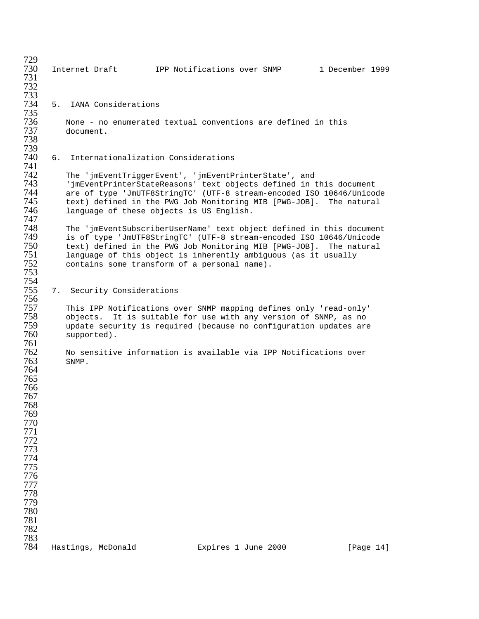Internet Draft 1PP Notifications over SNMP 1 December 1999 5. IANA Considerations 736 Mone - no enumerated textual conventions are defined in this<br>737 document. document. 6. Internationalization Considerations The 'jmEventTriggerEvent', 'jmEventPrinterState', and 'jmEventPrinterStateReasons' text objects defined in this document are of type 'JmUTF8StringTC' (UTF-8 stream-encoded ISO 10646/Unicode text) defined in the PWG Job Monitoring MIB [PWG-JOB]. The natural language of these objects is US English. The 'jmEventSubscriberUserName' text object defined in this document is of type 'JmUTF8StringTC' (UTF-8 stream-encoded ISO 10646/Unicode text) defined in the PWG Job Monitoring MIB [PWG-JOB]. The natural language of this object is inherently ambiguous (as it usually contains some transform of a personal name). 754<br>755 7. Security Considerations This IPP Notifications over SNMP mapping defines only 'read-only' objects. It is suitable for use with any version of SNMP, as no update security is required (because no configuration updates are supported). No sensitive information is available via IPP Notifications over SNMP. Hastings, McDonald Expires 1 June 2000 [Page 14]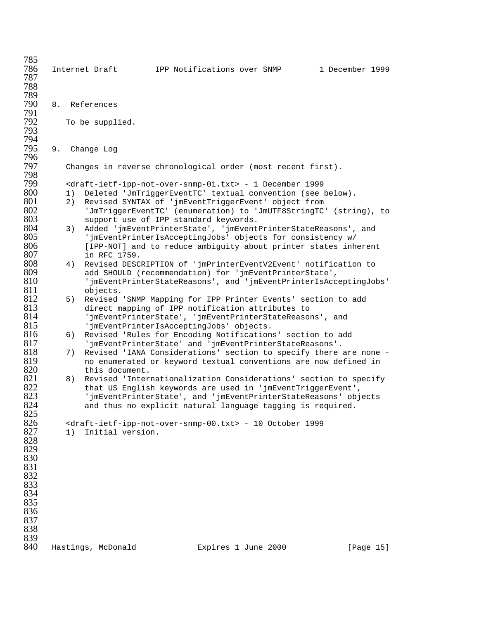| 785<br>786<br>787 |          | Internet Draft                                                                                                                                                                         |  | IPP Notifications over SNMP | 1 December 1999 |
|-------------------|----------|----------------------------------------------------------------------------------------------------------------------------------------------------------------------------------------|--|-----------------------------|-----------------|
| 788<br>789        |          |                                                                                                                                                                                        |  |                             |                 |
| 790<br>791        | 8.       | References                                                                                                                                                                             |  |                             |                 |
| 792<br>793        |          | To be supplied.                                                                                                                                                                        |  |                             |                 |
| 794<br>795        | 9.       | Change Log                                                                                                                                                                             |  |                             |                 |
| 796<br>797<br>798 |          | Changes in reverse chronological order (most recent first).                                                                                                                            |  |                             |                 |
| 799               |          | <draft-ietf-ipp-not-over-snmp-01.txt> - 1 December 1999</draft-ietf-ipp-not-over-snmp-01.txt>                                                                                          |  |                             |                 |
| 800<br>801<br>802 | 1)<br>2) | Deleted 'JmTriggerEventTC' textual convention (see below).<br>Revised SYNTAX of 'jmEventTriggerEvent' object from<br>'JmTriggerEventTC' (enumeration) to 'JmUTF8StringTC' (string), to |  |                             |                 |
| 803               |          | support use of IPP standard keywords.                                                                                                                                                  |  |                             |                 |
| 804<br>805<br>806 | 3)       | Added 'jmEventPrinterState', 'jmEventPrinterStateReasons', and<br>'jmEventPrinterIsAcceptingJobs' objects for consistency w/                                                           |  |                             |                 |
| 807               |          | [IPP-NOT] and to reduce ambiguity about printer states inherent<br>in RFC 1759.                                                                                                        |  |                             |                 |
| 808               | 4)       | Revised DESCRIPTION of 'jmPrinterEventV2Event' notification to                                                                                                                         |  |                             |                 |
| 809<br>810        |          | add SHOULD (recommendation) for 'jmEventPrinterState',<br>'jmEventPrinterStateReasons', and 'jmEventPrinterIsAcceptingJobs'                                                            |  |                             |                 |
| 811               |          | objects.                                                                                                                                                                               |  |                             |                 |
| 812<br>813        | 5)       | Revised 'SNMP Mapping for IPP Printer Events' section to add                                                                                                                           |  |                             |                 |
| 814               |          | direct mapping of IPP notification attributes to<br>'jmEventPrinterState', 'jmEventPrinterStateReasons', and                                                                           |  |                             |                 |
| 815               |          | 'jmEventPrinterIsAcceptingJobs' objects.                                                                                                                                               |  |                             |                 |
| 816               | 6)       | Revised 'Rules for Encoding Notifications' section to add                                                                                                                              |  |                             |                 |
| 817               |          | 'jmEventPrinterState' and 'jmEventPrinterStateReasons'.                                                                                                                                |  |                             |                 |
| 818               | 7)       | Revised 'IANA Considerations' section to specify there are none -                                                                                                                      |  |                             |                 |
| 819               |          | no enumerated or keyword textual conventions are now defined in                                                                                                                        |  |                             |                 |
| 820<br>821        |          | this document.                                                                                                                                                                         |  |                             |                 |
| 822               | 8)       | Revised 'Internationalization Considerations' section to specify<br>that US English keywords are used in 'jmEventTriggerEvent',                                                        |  |                             |                 |
| 823               |          | 'jmEventPrinterState', and 'jmEventPrinterStateReasons' objects                                                                                                                        |  |                             |                 |
| 824               |          | and thus no explicit natural language tagging is required.                                                                                                                             |  |                             |                 |
| 825               |          |                                                                                                                                                                                        |  |                             |                 |
| 826               |          | <draft-ietf-ipp-not-over-snmp-00.txt> - 10 October 1999</draft-ietf-ipp-not-over-snmp-00.txt>                                                                                          |  |                             |                 |
| 827               | 1)       | Initial version.                                                                                                                                                                       |  |                             |                 |
| 828<br>829        |          |                                                                                                                                                                                        |  |                             |                 |
| 830               |          |                                                                                                                                                                                        |  |                             |                 |
| 831               |          |                                                                                                                                                                                        |  |                             |                 |
| 832               |          |                                                                                                                                                                                        |  |                             |                 |
| 833               |          |                                                                                                                                                                                        |  |                             |                 |
| 834               |          |                                                                                                                                                                                        |  |                             |                 |
| 835<br>836        |          |                                                                                                                                                                                        |  |                             |                 |
| 837               |          |                                                                                                                                                                                        |  |                             |                 |
| 838               |          |                                                                                                                                                                                        |  |                             |                 |
| 839               |          |                                                                                                                                                                                        |  |                             |                 |
| 840               |          | Hastings, McDonald                                                                                                                                                                     |  | Expires 1 June 2000         | [Page 15]       |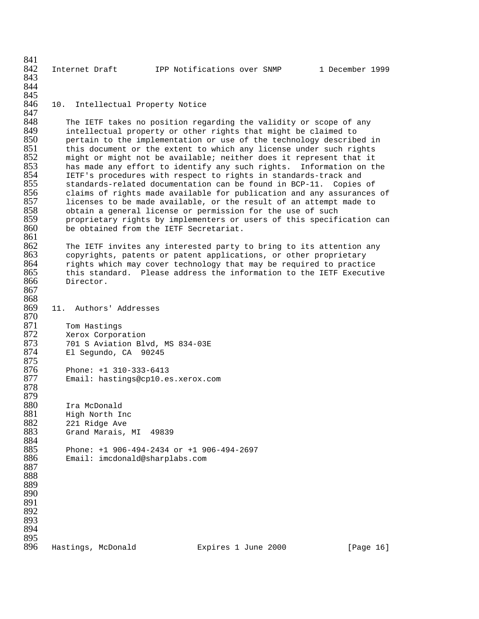841<br>842 Internet Draft 1999 IPP Notifications over SNMP 1 December 1999 843 844 845<br>846 10. Intellectual Property Notice 847<br>848 848 The IETF takes no position regarding the validity or scope of any<br>849 Tintellectual property or other rights that might be claimed to 849 intellectual property or other rights that might be claimed to<br>850 bertain to the implementation or use of the technology describe 850 bertain to the implementation or use of the technology described in 1851 this document or the extent to which any license under such rights this document or the extent to which any license under such rights 852 might or might not be available; neither does it represent that it<br>853 has made any effort to identify any such rights. Information on tl has made any effort to identify any such rights. Information on the 854 IETF's procedures with respect to rights in standards-track and 855 standards-related documentation can be found in BCP-11. Copies of 856 claims of rights made available for publication and any assurances of<br>857 licenses to be made available, or the result of an attempt made to 857 licenses to be made available, or the result of an attempt made to<br>858 obtain a general license or permission for the use of such 858 obtain a general license or permission for the use of such<br>859 proprietary rights by implementers or users of this specif. 859 proprietary rights by implementers or users of this specification can<br>860 be obtained from the IETF Secretariat. be obtained from the IETF Secretariat. 861<br>862 The IETF invites any interested party to bring to its attention any 863 copyrights, patents or patent applications, or other proprietary 864 rights which may cover technology that may be required to practice<br>865 this standard. Please address the information to the IETF Executiv 865 this standard. Please address the information to the IETF Executive<br>866 Director. Director. 867 868<br>869 11. Authors' Addresses 870<br>871 871 Tom Hastings 872 Xerox Corporation 873 701 S Aviation Blvd, MS 834-03E El Segundo, CA 90245 875<br>876 876 Phone: +1 310-333-6413 Email: hastings@cp10.es.xerox.com 878 879<br>880 880 Ira McDonald 881 High North Inc 882 221 Ridge Ave Grand Marais, MI 49839 884<br>885 885 Phone: +1 906-494-2434 or +1 906-494-2697 886 Email: imcdonald@sharplabs.com 887 888 889 890 891 892 893 894 895<br>896 Hastings, McDonald Expires 1 June 2000 [Page 16]